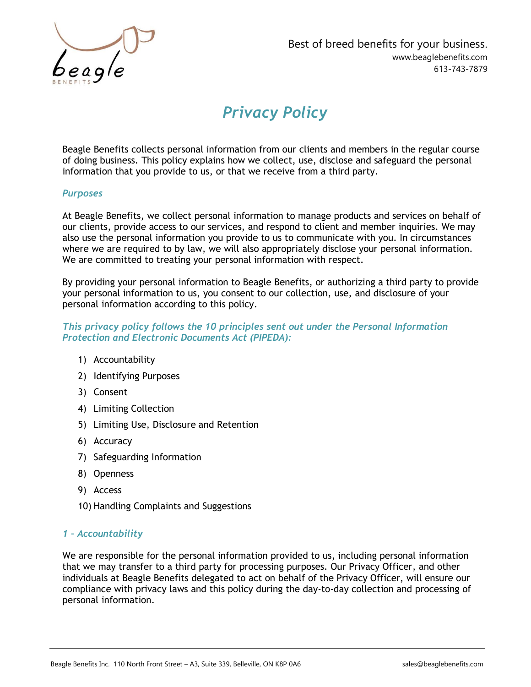

# Privacy Policy

Beagle Benefits collects personal information from our clients and members in the regular course of doing business. This policy explains how we collect, use, disclose and safeguard the personal information that you provide to us, or that we receive from a third party.

## **Purposes**

At Beagle Benefits, we collect personal information to manage products and services on behalf of our clients, provide access to our services, and respond to client and member inquiries. We may also use the personal information you provide to us to communicate with you. In circumstances where we are required to by law, we will also appropriately disclose your personal information. We are committed to treating your personal information with respect.

By providing your personal information to Beagle Benefits, or authorizing a third party to provide your personal information to us, you consent to our collection, use, and disclosure of your personal information according to this policy.

## This privacy policy follows the 10 principles sent out under the Personal Information Protection and Electronic Documents Act (PIPEDA):

- 1) Accountability
- 2) Identifying Purposes
- 3) Consent
- 4) Limiting Collection
- 5) Limiting Use, Disclosure and Retention
- 6) Accuracy
- 7) Safeguarding Information
- 8) Openness
- 9) Access
- 10) Handling Complaints and Suggestions

#### 1 – Accountability

We are responsible for the personal information provided to us, including personal information that we may transfer to a third party for processing purposes. Our Privacy Officer, and other individuals at Beagle Benefits delegated to act on behalf of the Privacy Officer, will ensure our compliance with privacy laws and this policy during the day-to-day collection and processing of personal information.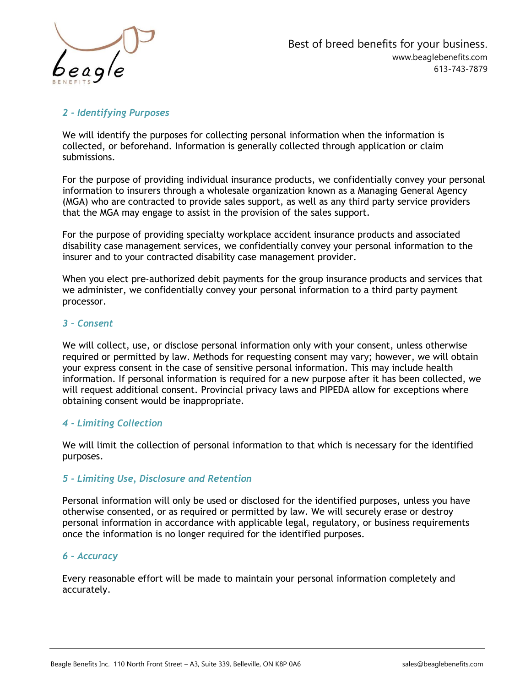

# 2 - Identifying Purposes

We will identify the purposes for collecting personal information when the information is collected, or beforehand. Information is generally collected through application or claim submissions.

For the purpose of providing individual insurance products, we confidentially convey your personal information to insurers through a wholesale organization known as a Managing General Agency (MGA) who are contracted to provide sales support, as well as any third party service providers that the MGA may engage to assist in the provision of the sales support.

For the purpose of providing specialty workplace accident insurance products and associated disability case management services, we confidentially convey your personal information to the insurer and to your contracted disability case management provider.

When you elect pre-authorized debit payments for the group insurance products and services that we administer, we confidentially convey your personal information to a third party payment processor.

## 3 – Consent

We will collect, use, or disclose personal information only with your consent, unless otherwise required or permitted by law. Methods for requesting consent may vary; however, we will obtain your express consent in the case of sensitive personal information. This may include health information. If personal information is required for a new purpose after it has been collected, we will request additional consent. Provincial privacy laws and PIPEDA allow for exceptions where obtaining consent would be inappropriate.

# 4 - Limiting Collection

We will limit the collection of personal information to that which is necessary for the identified purposes.

# 5 - Limiting Use, Disclosure and Retention

Personal information will only be used or disclosed for the identified purposes, unless you have otherwise consented, or as required or permitted by law. We will securely erase or destroy personal information in accordance with applicable legal, regulatory, or business requirements once the information is no longer required for the identified purposes.

#### 6 – Accuracy

Every reasonable effort will be made to maintain your personal information completely and accurately.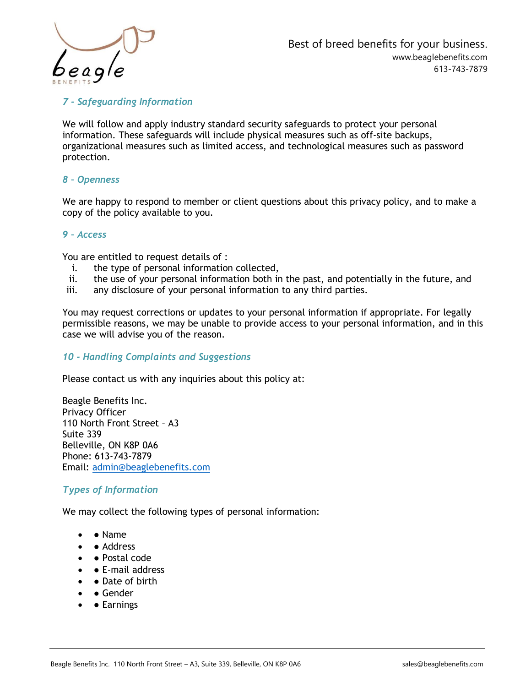

7 - Safeguarding Information

We will follow and apply industry standard security safeguards to protect your personal information. These safeguards will include physical measures such as off-site backups, organizational measures such as limited access, and technological measures such as password protection.

# 8 – Openness

We are happy to respond to member or client questions about this privacy policy, and to make a copy of the policy available to you.

## 9 – Access

You are entitled to request details of :

- i. the type of personal information collected,
- ii. the use of your personal information both in the past, and potentially in the future, and
- iii. any disclosure of your personal information to any third parties.

You may request corrections or updates to your personal information if appropriate. For legally permissible reasons, we may be unable to provide access to your personal information, and in this case we will advise you of the reason.

#### 10 - Handling Complaints and Suggestions

Please contact us with any inquiries about this policy at:

Beagle Benefits Inc. Privacy Officer 110 North Front Street – A3 Suite 339 Belleville, ON K8P 0A6 Phone: 613-743-7879 Email: admin@beaglebenefits.com

#### Types of Information

We may collect the following types of personal information:

- • Name
- • Address
- ● Postal code
- $\bullet$   $\bullet$  E-mail address
- $\bullet$   $\bullet$  Date of birth
- $\bullet$   $\bullet$  Gender
- **Earnings**